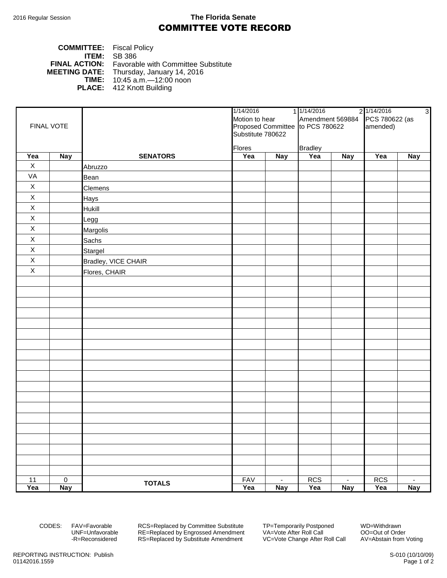## 2016 Regular Session **The Florida Senate** COMMITTEE VOTE RECORD

| <b>COMMITTEE:</b> Fiscal Policy |                                                          |
|---------------------------------|----------------------------------------------------------|
|                                 | <b>ITEM:</b> $SB$ 386                                    |
|                                 | <b>FINAL ACTION:</b> Favorable with Committee Substitute |
|                                 | <b>MEETING DATE:</b> Thursday, January 14, 2016          |
|                                 | <b>TIME:</b> $10:45$ a.m. $-12:00$ noon                  |
|                                 | <b>PLACE:</b> 412 Knott Building                         |

|             |             |                     | 1/14/2016<br>Motion to hear                           |                | 1 1/14/2016<br>Amendment 569884 |            | 2 1/14/2016    | $\omega$                 |
|-------------|-------------|---------------------|-------------------------------------------------------|----------------|---------------------------------|------------|----------------|--------------------------|
|             |             |                     |                                                       |                |                                 |            | PCS 780622 (as |                          |
|             | FINAL VOTE  |                     | Proposed Committee to PCS 780622<br>Substitute 780622 |                |                                 |            | amended)       |                          |
|             |             |                     |                                                       |                |                                 |            |                |                          |
|             |             |                     | <b>Flores</b>                                         |                | <b>Bradley</b>                  |            |                |                          |
| Yea         | Nay         | <b>SENATORS</b>     | Yea                                                   | <b>Nay</b>     | Yea                             | <b>Nay</b> | Yea            | <b>Nay</b>               |
| $\mathsf X$ |             | Abruzzo             |                                                       |                |                                 |            |                |                          |
| VA          |             | Bean                |                                                       |                |                                 |            |                |                          |
| $\mathsf X$ |             | Clemens             |                                                       |                |                                 |            |                |                          |
| $\mathsf X$ |             | <b>Hays</b>         |                                                       |                |                                 |            |                |                          |
| $\mathsf X$ |             | Hukill              |                                                       |                |                                 |            |                |                          |
| $\mathsf X$ |             | Legg                |                                                       |                |                                 |            |                |                          |
| $\mathsf X$ |             | Margolis            |                                                       |                |                                 |            |                |                          |
| $\mathsf X$ |             | Sachs               |                                                       |                |                                 |            |                |                          |
| $\mathsf X$ |             | Stargel             |                                                       |                |                                 |            |                |                          |
| $\mathsf X$ |             | Bradley, VICE CHAIR |                                                       |                |                                 |            |                |                          |
| $\mathsf X$ |             | Flores, CHAIR       |                                                       |                |                                 |            |                |                          |
|             |             |                     |                                                       |                |                                 |            |                |                          |
|             |             |                     |                                                       |                |                                 |            |                |                          |
|             |             |                     |                                                       |                |                                 |            |                |                          |
|             |             |                     |                                                       |                |                                 |            |                |                          |
|             |             |                     |                                                       |                |                                 |            |                |                          |
|             |             |                     |                                                       |                |                                 |            |                |                          |
|             |             |                     |                                                       |                |                                 |            |                |                          |
|             |             |                     |                                                       |                |                                 |            |                |                          |
|             |             |                     |                                                       |                |                                 |            |                |                          |
|             |             |                     |                                                       |                |                                 |            |                |                          |
|             |             |                     |                                                       |                |                                 |            |                |                          |
|             |             |                     |                                                       |                |                                 |            |                |                          |
|             |             |                     |                                                       |                |                                 |            |                |                          |
|             |             |                     |                                                       |                |                                 |            |                |                          |
|             |             |                     |                                                       |                |                                 |            |                |                          |
|             |             |                     |                                                       |                |                                 |            |                |                          |
|             |             |                     |                                                       |                |                                 |            |                |                          |
|             |             |                     |                                                       |                |                                 |            |                |                          |
|             |             |                     |                                                       |                |                                 |            |                |                          |
| 11          | $\mathbf 0$ | <b>TOTALS</b>       | <b>FAV</b>                                            | $\blacksquare$ | <b>RCS</b>                      | $\sim$     | <b>RCS</b>     | $\overline{\phantom{a}}$ |
| Yea         | <b>Nay</b>  |                     | Yea                                                   | Nay            | Yea                             | <b>Nay</b> | Yea            | <b>Nay</b>               |